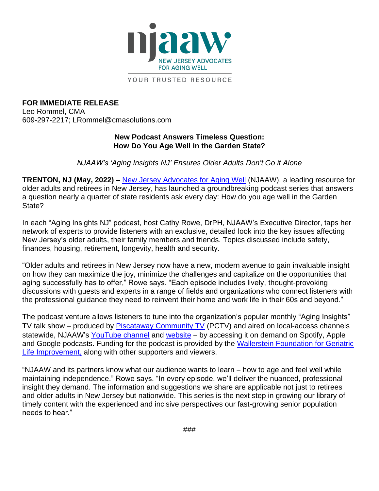

YOUR TRUSTED RESOURCE

**FOR IMMEDIATE RELEASE** Leo Rommel, CMA 609-297-2217; LRommel@cmasolutions.com

## **New Podcast Answers Timeless Question: How Do You Age Well in the Garden State?**

*NJAAW's 'Aging Insights NJ' Ensures Older Adults Don't Go it Alone*

**TRENTON, NJ (May, 2022) –** [New Jersey Advocates for Aging Well](https://www.njaaw.org/) (NJAAW), a leading resource for older adults and retirees in New Jersey, has launched a groundbreaking podcast series that answers a question nearly a quarter of state residents ask every day: How do you age well in the Garden State?

In each "Aging Insights NJ" podcast, host Cathy Rowe, DrPH, NJAAW's Executive Director, taps her network of experts to provide listeners with an exclusive, detailed look into the key issues affecting New Jersey's older adults, their family members and friends. Topics discussed include safety, finances, housing, retirement, longevity, health and security.

"Older adults and retirees in New Jersey now have a new, modern avenue to gain invaluable insight on how they can maximize the joy, minimize the challenges and capitalize on the opportunities that aging successfully has to offer," Rowe says. "Each episode includes lively, thought-provoking discussions with guests and experts in a range of fields and organizations who connect listeners with the professional guidance they need to reinvent their home and work life in their 60s and beyond."

The podcast venture allows listeners to tune into the organization's popular monthly "Aging Insights" TV talk show – produced by [Piscataway Community TV](https://www.piscatawaynj.org/departments/pctv/index.php) (PCTV) and aired on local-access channels statewide, NJAAW's [YouTube channel](https://www.youtube.com/njadvocatesforagingwell) and [website](https://www.njaaw.org/aging-insights/) – by accessing it on demand on Spotify, Apple and Google podcasts. Funding for the podcast is provided by the [Wallerstein Foundation for Geriatric](https://wallersteinfoundation.org/)  [Life Improvement,](https://wallersteinfoundation.org/) along with other supporters and viewers.

"NJAAW and its partners know what our audience wants to learn − how to age and feel well while maintaining independence." Rowe says. "In every episode, we'll deliver the nuanced, professional insight they demand. The information and suggestions we share are applicable not just to retirees and older adults in New Jersey but nationwide. This series is the next step in growing our library of timely content with the experienced and incisive perspectives our fast-growing senior population needs to hear."